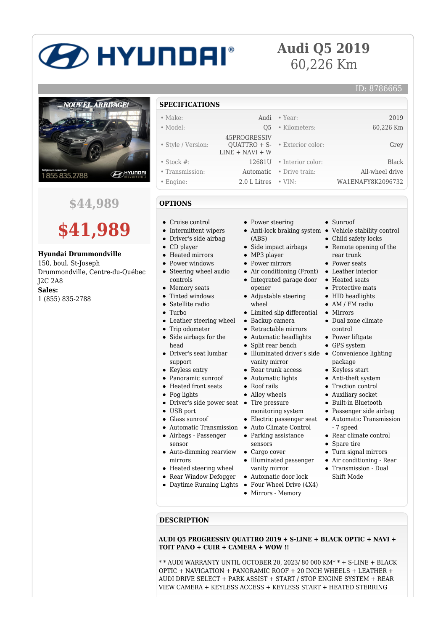# **2D HYUNDAI**®

## **Audi Q5 2019** 60,226 Km

# NOUVEL ARRIVAGE! **ED HYUNDA** 1855835.2788

### **\$44,989**



#### **Hyundai Drummondville**

150, boul. St-Joseph Drummondville, Centre-du-Québec J2C 2A8 **Sales:** 1 (855) 835-2788

#### **SPECIFICATIONS**

| ,,,,,,,,,,,,,,,,   |                                   |                                               |                   |
|--------------------|-----------------------------------|-----------------------------------------------|-------------------|
| $\bullet$ Make:    |                                   | Audi • Year:                                  | 2019              |
| • Model:           | O <sub>5</sub>                    | • Kilometers:                                 | 60,226 Km         |
| • Style / Version: | 45PROGRESSIV<br>$LINE + NAVI + W$ | $\text{OUATTRO} + \text{S}$ • Exterior color: | Grey              |
| $\bullet$ Stock #: |                                   | 12681U • Interior color:                      | Black             |
| • Transmission:    |                                   | <b>Automatic</b> • Drive train:               | All-wheel drive   |
| • Engine:          | $2.0$ L Litres $\cdot$ VIN:       |                                               | WA1ENAFY8K2096732 |

• Power steering

• Side impact airbags • MP3 player • Power mirrors

Integrated garage door

Limited slip differential

Adjustable steering

Backup camera Retractable mirrors Automatic headlights • Split rear bench

vanity mirror • Rear trunk access Automatic lights Roof rails Alloy wheels

monitoring system

(ABS)

opener

wheel

### **OPTIONS**

- Cruise control
- Intermittent wipers
- Driver's side airbag
- CD player
- Heated mirrors
- Power windows
- Steering wheel audio controls
- Memory seats
- Tinted windows
- 
- 
- Leather steering wheel
- Trip odometer  $\bullet$
- Side airbags for the
- head Driver's seat lumbar support
- -
- 
- 
- 
- USB port
- Glass sunroof
- 
- Airbags Passenger sensor
- Auto-dimming rearview mirrors
- Heated steering wheel
- Rear Window Defogger
- Daytime Running Lights
- vanity mirror Automatic door lock

sensors Cargo cover Illuminated passenger

 $\bullet$ 

- Four Wheel Drive (4X4)
- Mirrors Memory
- Sunroof
- Anti-lock braking system Vehicle stability control

ID: 8786665

- Child safety locks • Remote opening of the
- rear trunk
- Power seats
- Air conditioning (Front) Leather interior
	- Heated seats
	- Protective mats • HID headlights
	- AM / FM radio
	- Mirrors
	- Dual zone climate control
	- Power liftgate
	- GPS system
- Illuminated driver's side Convenience lighting package
	- Keyless start
	- Anti-theft system
	- Traction control
	- Auxiliary socket
	- $\bullet~$  Built-in Bluetooth
	- Passenger side airbag
- Electric passenger seat Automatic Transmission
- Parking assistance - 7 speed
	- Rear climate control
	- Spare tire
	- Turn signal mirrors
	- Air conditioning Rear
	- Transmission Dual Shift Mode

**DESCRIPTION**

**AUDI Q5 PROGRESSIV QUATTRO 2019 + S-LINE + BLACK OPTIC + NAVI + TOIT PANO + CUIR + CAMERA + WOW !!**

\* \* AUDI WARRANTY UNTIL OCTOBER 20, 2023/ 80 000 KM\* \* + S-LINE + BLACK OPTIC + NAVIGATION + PANORAMIC ROOF + 20 INCH WHEELS + LEATHER + AUDI DRIVE SELECT + PARK ASSIST + START / STOP ENGINE SYSTEM + REAR VIEW CAMERA + KEYLESS ACCESS + KEYLESS START + HEATED STERRING

- 
- 
- -
	-
	-

- 
- 

Satellite radio

 $\bullet$  Turbo

- 
- 
- Keyless entry
- Panoramic sunroof
- Heated front seats
- Fog lights
- Driver's side power seat Tire pressure
- 
- 
- Automatic Transmission Auto Climate Control
- -